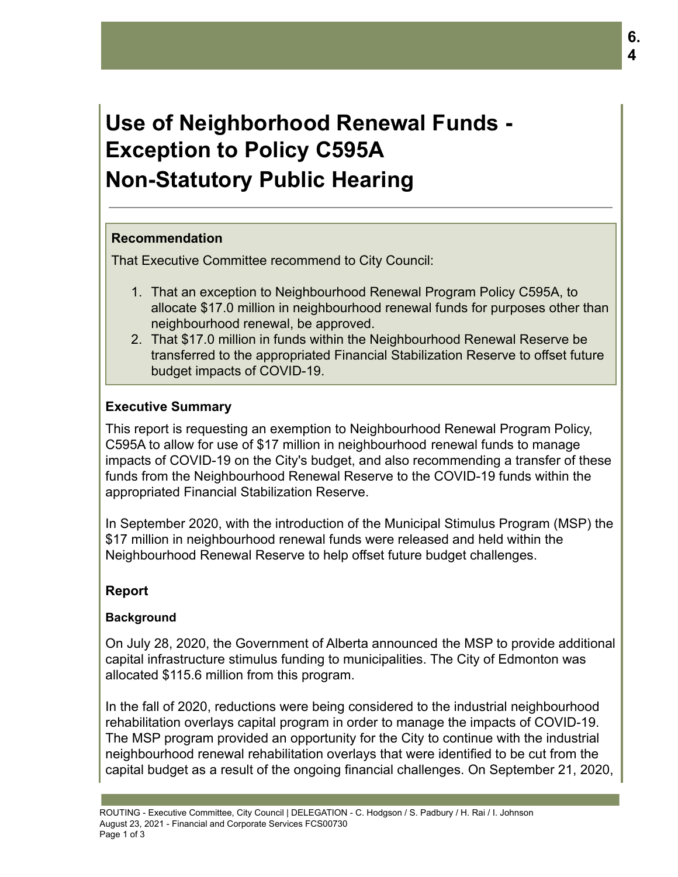# **Use of Neighborhood Renewal Funds - Exception to Policy C595A Non-Statutory Public Hearing**

## **Recommendation**

That Executive Committee recommend to City Council:

- 1. That an exception to Neighbourhood Renewal Program Policy C595A, to allocate \$17.0 million in neighbourhood renewal funds for purposes other than neighbourhood renewal, be approved.
- 2. That \$17.0 million in funds within the Neighbourhood Renewal Reserve be transferred to the appropriated Financial Stabilization Reserve to offset future budget impacts of COVID-19.

# **Executive Summary**

This report is requesting an exemption to Neighbourhood Renewal Program Policy, C595A to allow for use of \$17 million in neighbourhood renewal funds to manage impacts of COVID-19 on the City's budget, and also recommending a transfer of these funds from the Neighbourhood Renewal Reserve to the COVID-19 funds within the appropriated Financial Stabilization Reserve.

In September 2020, with the introduction of the Municipal Stimulus Program (MSP) the \$17 million in neighbourhood renewal funds were released and held within the Neighbourhood Renewal Reserve to help offset future budget challenges.

# **Report**

#### **Background**

On July 28, 2020, the Government of Alberta announced the MSP to provide additional capital infrastructure stimulus funding to municipalities. The City of Edmonton was allocated \$115.6 million from this program.

In the fall of 2020, reductions were being considered to the industrial neighbourhood rehabilitation overlays capital program in order to manage the impacts of COVID-19. The MSP program provided an opportunity for the City to continue with the industrial neighbourhood renewal rehabilitation overlays that were identified to be cut from the capital budget as a result of the ongoing financial challenges. On September 21, 2020,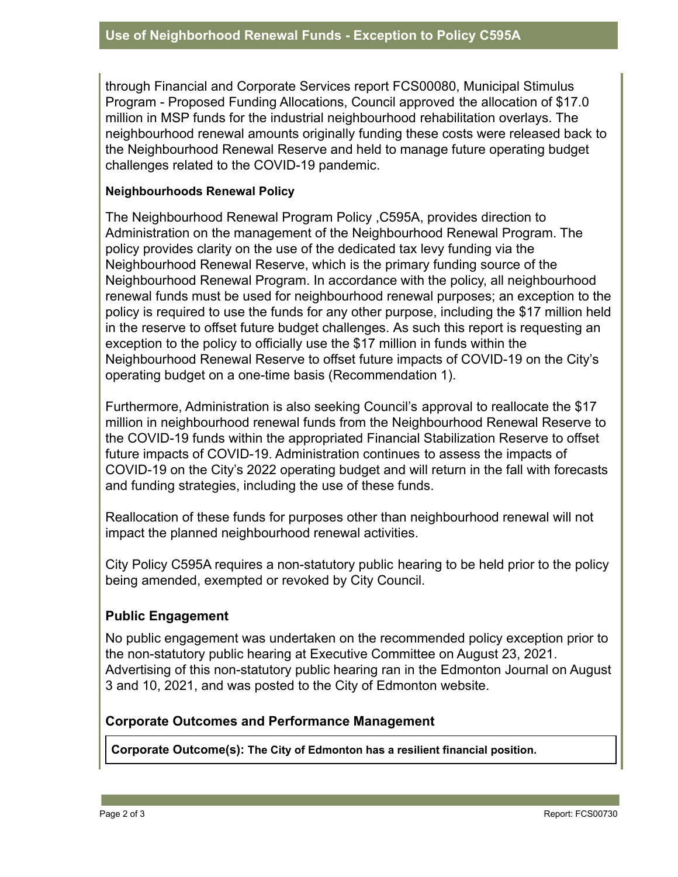through Financial and Corporate Services report FCS00080, Municipal Stimulus Program - Proposed Funding Allocations, Council approved the allocation of \$17.0 million in MSP funds for the industrial neighbourhood rehabilitation overlays. The neighbourhood renewal amounts originally funding these costs were released back to the Neighbourhood Renewal Reserve and held to manage future operating budget challenges related to the COVID-19 pandemic.

#### **Neighbourhoods Renewal Policy**

The Neighbourhood Renewal Program Policy ,C595A, provides direction to Administration on the management of the Neighbourhood Renewal Program. The policy provides clarity on the use of the dedicated tax levy funding via the Neighbourhood Renewal Reserve, which is the primary funding source of the Neighbourhood Renewal Program. In accordance with the policy, all neighbourhood renewal funds must be used for neighbourhood renewal purposes; an exception to the policy is required to use the funds for any other purpose, including the \$17 million held in the reserve to offset future budget challenges. As such this report is requesting an exception to the policy to officially use the \$17 million in funds within the Neighbourhood Renewal Reserve to offset future impacts of COVID-19 on the City's operating budget on a one-time basis (Recommendation 1).

Furthermore, Administration is also seeking Council's approval to reallocate the \$17 million in neighbourhood renewal funds from the Neighbourhood Renewal Reserve to the COVID-19 funds within the appropriated Financial Stabilization Reserve to offset future impacts of COVID-19. Administration continues to assess the impacts of COVID-19 on the City's 2022 operating budget and will return in the fall with forecasts and funding strategies, including the use of these funds.

Reallocation of these funds for purposes other than neighbourhood renewal will not impact the planned neighbourhood renewal activities.

City Policy C595A requires a non-statutory public hearing to be held prior to the policy being amended, exempted or revoked by City Council.

# **Public Engagement**

No public engagement was undertaken on the recommended policy exception prior to the non-statutory public hearing at Executive Committee on August 23, 2021. Advertising of this non-statutory public hearing ran in the Edmonton Journal on August 3 and 10, 2021, and was posted to the City of Edmonton website.

#### **Corporate Outcomes and Performance Management**

**Corporate Outcome(s): The City of Edmonton has a resilient financial position.**